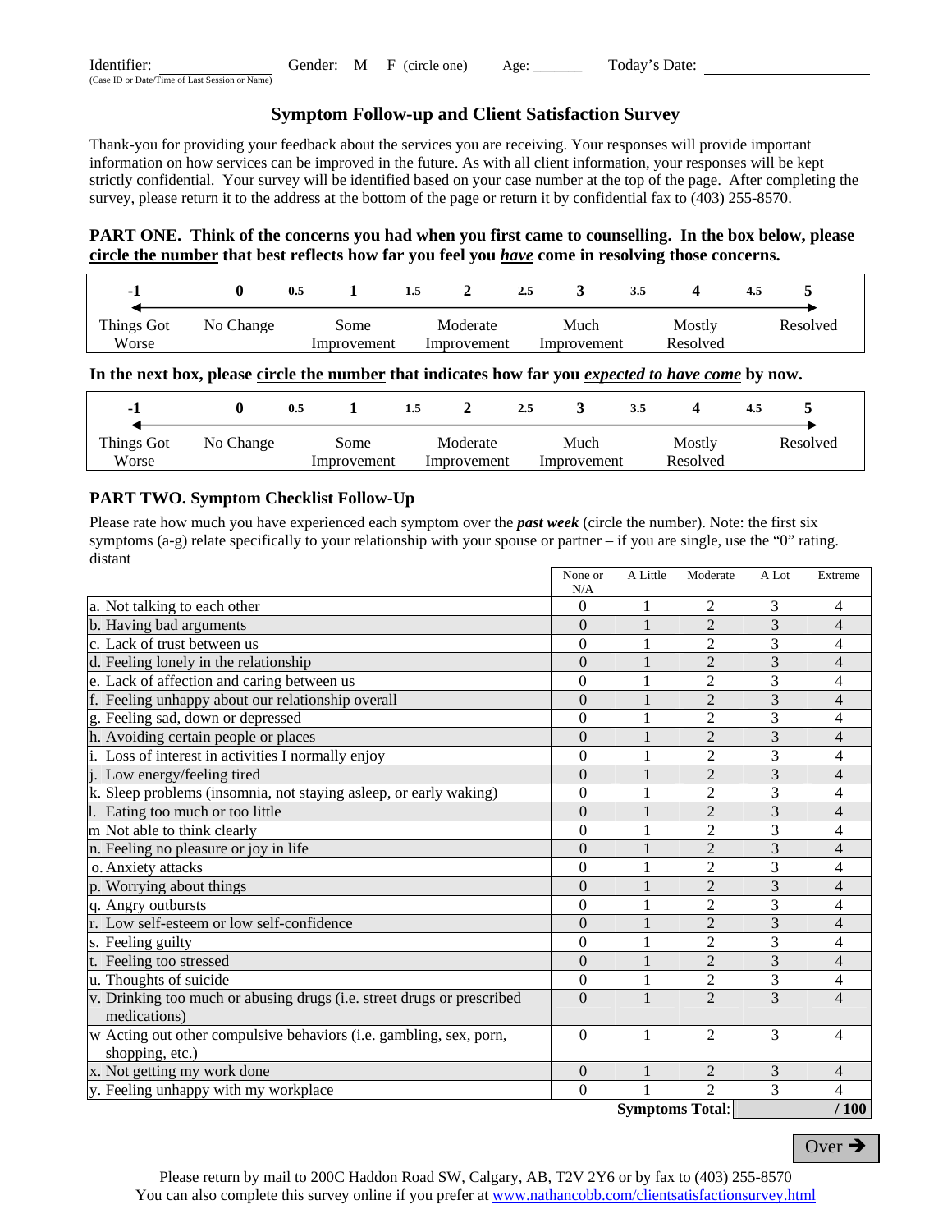| Identifier:                                    |  | Gender: M F (circle one) Age: | Today's Date: |  |
|------------------------------------------------|--|-------------------------------|---------------|--|
| (Case ID or Date/Time of Last Session or Name) |  |                               |               |  |

# **Symptom Follow-up and Client Satisfaction Survey**

Thank-you for providing your feedback about the services you are receiving. Your responses will provide important information on how services can be improved in the future. As with all client information, your responses will be kept strictly confidential. Your survey will be identified based on your case number at the top of the page. After completing the survey, please return it to the address at the bottom of the page or return it by confidential fax to (403) 255-8570.

# **PART ONE. Think of the concerns you had when you first came to counselling. In the box below, please circle the number that best reflects how far you feel you** *have* **come in resolving those concerns.**

| - 1                 |           | 0.5                 | 1.5                     | 2.5                 |                    | 4.5      |
|---------------------|-----------|---------------------|-------------------------|---------------------|--------------------|----------|
| Things Got<br>Worse | No Change | Some<br>Improvement | Moderate<br>Improvement | Much<br>Improvement | Mostly<br>Resolved | Resolved |

#### **In the next box, please circle the number that indicates how far you** *expected to have come* **by now.**

| -1                  |           | 0.5                 | L.5                     | 2.5                 | 3.5                | 4.5      |
|---------------------|-----------|---------------------|-------------------------|---------------------|--------------------|----------|
| Things Got<br>Worse | No Change | Some<br>Improvement | Moderate<br>Improvement | Much<br>Improvement | Mostly<br>Resolved | Resolved |

## **PART TWO. Symptom Checklist Follow-Up**

Please rate how much you have experienced each symptom over the *past week* (circle the number). Note: the first six symptoms  $(a-g)$  relate specifically to your relationship with your spouse or partner – if you are single, use the "0" rating. distant

| a. Not talking to each other<br>$\Omega$<br>$\overline{0}$<br>b. Having bad arguments<br>c. Lack of trust between us<br>$\theta$<br>$\overline{0}$<br>d. Feeling lonely in the relationship<br>e. Lack of affection and caring between us<br>$\theta$<br>f. Feeling unhappy about our relationship overall<br>$\overline{0}$<br>g. Feeling sad, down or depressed<br>$\overline{0}$<br>h. Avoiding certain people or places<br>$\overline{0}$<br>i. Loss of interest in activities I normally enjoy<br>$\boldsymbol{0}$<br>j. Low energy/feeling tired<br>$\theta$<br>k. Sleep problems (insomnia, not staying asleep, or early waking)<br>$\theta$<br>l. Eating too much or too little<br>$\theta$ | $\mathbf{1}$<br>1 | 2              | 3 |                |
|-----------------------------------------------------------------------------------------------------------------------------------------------------------------------------------------------------------------------------------------------------------------------------------------------------------------------------------------------------------------------------------------------------------------------------------------------------------------------------------------------------------------------------------------------------------------------------------------------------------------------------------------------------------------------------------------------------|-------------------|----------------|---|----------------|
|                                                                                                                                                                                                                                                                                                                                                                                                                                                                                                                                                                                                                                                                                                     |                   |                |   | 4              |
|                                                                                                                                                                                                                                                                                                                                                                                                                                                                                                                                                                                                                                                                                                     |                   | $\overline{2}$ | 3 | 4              |
|                                                                                                                                                                                                                                                                                                                                                                                                                                                                                                                                                                                                                                                                                                     |                   | $\overline{2}$ | 3 | 4              |
|                                                                                                                                                                                                                                                                                                                                                                                                                                                                                                                                                                                                                                                                                                     |                   | $\overline{c}$ | 3 | $\overline{4}$ |
|                                                                                                                                                                                                                                                                                                                                                                                                                                                                                                                                                                                                                                                                                                     |                   | $\overline{2}$ | 3 | 4              |
|                                                                                                                                                                                                                                                                                                                                                                                                                                                                                                                                                                                                                                                                                                     |                   | $\overline{2}$ | 3 | 4              |
|                                                                                                                                                                                                                                                                                                                                                                                                                                                                                                                                                                                                                                                                                                     |                   | $\overline{2}$ | 3 | 4              |
|                                                                                                                                                                                                                                                                                                                                                                                                                                                                                                                                                                                                                                                                                                     |                   | $\overline{2}$ | 3 | 4              |
|                                                                                                                                                                                                                                                                                                                                                                                                                                                                                                                                                                                                                                                                                                     |                   | $\overline{2}$ | 3 | 4              |
|                                                                                                                                                                                                                                                                                                                                                                                                                                                                                                                                                                                                                                                                                                     | 1                 | $\overline{2}$ | 3 | $\overline{4}$ |
|                                                                                                                                                                                                                                                                                                                                                                                                                                                                                                                                                                                                                                                                                                     |                   | $\overline{2}$ | 3 | 4              |
|                                                                                                                                                                                                                                                                                                                                                                                                                                                                                                                                                                                                                                                                                                     | 1                 | $\overline{2}$ | 3 | $\overline{4}$ |
| m Not able to think clearly<br>$\theta$                                                                                                                                                                                                                                                                                                                                                                                                                                                                                                                                                                                                                                                             |                   | 2              | 3 | 4              |
| n. Feeling no pleasure or joy in life<br>$\theta$                                                                                                                                                                                                                                                                                                                                                                                                                                                                                                                                                                                                                                                   | 1                 | $\overline{2}$ | 3 | $\overline{4}$ |
| o. Anxiety attacks<br>$\overline{0}$                                                                                                                                                                                                                                                                                                                                                                                                                                                                                                                                                                                                                                                                |                   | 2              | 3 | 4              |
| $\overline{0}$<br>p. Worrying about things                                                                                                                                                                                                                                                                                                                                                                                                                                                                                                                                                                                                                                                          |                   | $\overline{2}$ | 3 | 4              |
| q. Angry outbursts<br>$\theta$                                                                                                                                                                                                                                                                                                                                                                                                                                                                                                                                                                                                                                                                      | 1                 | $\overline{2}$ | 3 | 4              |
| r. Low self-esteem or low self-confidence<br>$\overline{0}$                                                                                                                                                                                                                                                                                                                                                                                                                                                                                                                                                                                                                                         |                   | $\overline{2}$ | 3 | 4              |
| s. Feeling guilty<br>$\overline{0}$                                                                                                                                                                                                                                                                                                                                                                                                                                                                                                                                                                                                                                                                 |                   | $\overline{c}$ | 3 | 4              |
| $\overline{0}$<br>t. Feeling too stressed                                                                                                                                                                                                                                                                                                                                                                                                                                                                                                                                                                                                                                                           |                   | $\overline{2}$ | 3 | $\overline{4}$ |
| u. Thoughts of suicide<br>$\boldsymbol{0}$                                                                                                                                                                                                                                                                                                                                                                                                                                                                                                                                                                                                                                                          | 1                 | $\overline{2}$ | 3 | 4              |
| v. Drinking too much or abusing drugs (i.e. street drugs or prescribed<br>$\overline{0}$                                                                                                                                                                                                                                                                                                                                                                                                                                                                                                                                                                                                            | 1                 | $\overline{2}$ | 3 | 4              |
| medications)                                                                                                                                                                                                                                                                                                                                                                                                                                                                                                                                                                                                                                                                                        |                   |                |   |                |
| w Acting out other compulsive behaviors (i.e. gambling, sex, porn,<br>$\theta$                                                                                                                                                                                                                                                                                                                                                                                                                                                                                                                                                                                                                      | 1                 | $\overline{2}$ | 3 | 4              |
| shopping, etc.)                                                                                                                                                                                                                                                                                                                                                                                                                                                                                                                                                                                                                                                                                     |                   |                |   |                |
| x. Not getting my work done<br>$\theta$                                                                                                                                                                                                                                                                                                                                                                                                                                                                                                                                                                                                                                                             |                   | 2              | 3 | 4              |
| $\boldsymbol{0}$<br>y. Feeling unhappy with my workplace                                                                                                                                                                                                                                                                                                                                                                                                                                                                                                                                                                                                                                            |                   | $\overline{2}$ | 3 | 4              |

**Symptoms Total**: **/ 100** 

Over  $\rightarrow$